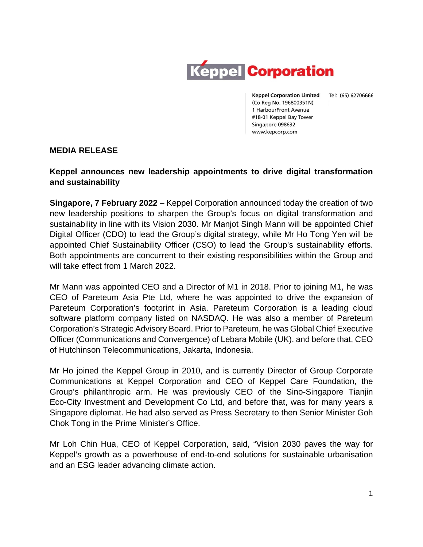

Keppel Corporation Limited Tel: (65) 62706666 (Co Reg No. 196800351N) 1 HarbourFront Avenue #18-01 Keppel Bay Tower Singapore 098632 www.kepcorp.com

**MEDIA RELEASE**

## **Keppel announces new leadership appointments to drive digital transformation and sustainability**

**Singapore, 7 February 2022** – Keppel Corporation announced today the creation of two new leadership positions to sharpen the Group's focus on digital transformation and sustainability in line with its Vision 2030. Mr Manjot Singh Mann will be appointed Chief Digital Officer (CDO) to lead the Group's digital strategy, while Mr Ho Tong Yen will be appointed Chief Sustainability Officer (CSO) to lead the Group's sustainability efforts. Both appointments are concurrent to their existing responsibilities within the Group and will take effect from 1 March 2022.

Mr Mann was appointed CEO and a Director of M1 in 2018. Prior to joining M1, he was CEO of Pareteum Asia Pte Ltd, where he was appointed to drive the expansion of Pareteum Corporation's footprint in Asia. Pareteum Corporation is a leading cloud software platform company listed on NASDAQ. He was also a member of Pareteum Corporation's Strategic Advisory Board. Prior to Pareteum, he was Global Chief Executive Officer (Communications and Convergence) of Lebara Mobile (UK), and before that, CEO of Hutchinson Telecommunications, Jakarta, Indonesia.

Mr Ho joined the Keppel Group in 2010, and is currently Director of Group Corporate Communications at Keppel Corporation and CEO of Keppel Care Foundation, the Group's philanthropic arm. He was previously CEO of the Sino-Singapore Tianjin Eco-City Investment and Development Co Ltd, and before that, was for many years a Singapore diplomat. He had also served as Press Secretary to then Senior Minister Goh Chok Tong in the Prime Minister's Office.

Mr Loh Chin Hua, CEO of Keppel Corporation, said, "Vision 2030 paves the way for Keppel's growth as a powerhouse of end-to-end solutions for sustainable urbanisation and an ESG leader advancing climate action.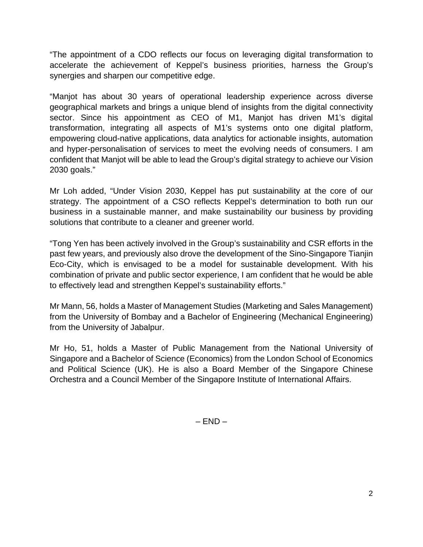"The appointment of a CDO reflects our focus on leveraging digital transformation to accelerate the achievement of Keppel's business priorities, harness the Group's synergies and sharpen our competitive edge.

"Manjot has about 30 years of operational leadership experience across diverse geographical markets and brings a unique blend of insights from the digital connectivity sector. Since his appointment as CEO of M1, Manjot has driven M1's digital transformation, integrating all aspects of M1's systems onto one digital platform, empowering cloud-native applications, data analytics for actionable insights, automation and hyper-personalisation of services to meet the evolving needs of consumers. I am confident that Manjot will be able to lead the Group's digital strategy to achieve our Vision 2030 goals."

Mr Loh added, "Under Vision 2030, Keppel has put sustainability at the core of our strategy. The appointment of a CSO reflects Keppel's determination to both run our business in a sustainable manner, and make sustainability our business by providing solutions that contribute to a cleaner and greener world.

"Tong Yen has been actively involved in the Group's sustainability and CSR efforts in the past few years, and previously also drove the development of the Sino-Singapore Tianjin Eco-City, which is envisaged to be a model for sustainable development. With his combination of private and public sector experience, I am confident that he would be able to effectively lead and strengthen Keppel's sustainability efforts."

Mr Mann, 56, holds a Master of Management Studies (Marketing and Sales Management) from the University of Bombay and a Bachelor of Engineering (Mechanical Engineering) from the University of Jabalpur.

Mr Ho, 51, holds a Master of Public Management from the National University of Singapore and a Bachelor of Science (Economics) from the London School of Economics and Political Science (UK). He is also a Board Member of the Singapore Chinese Orchestra and a Council Member of the Singapore Institute of International Affairs.

 $-$  END  $-$